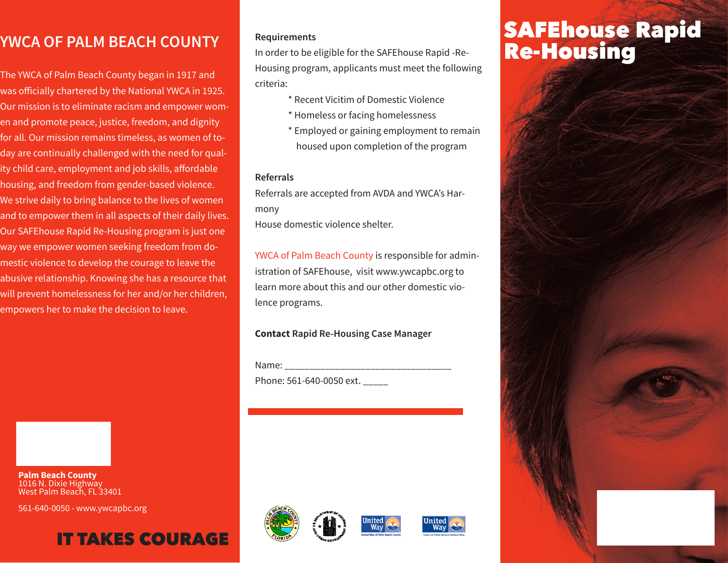## **YWCA OF PALM BEACH COUNTY**

The YWCA of Palm Beach County began in 1917 and was officially chartered by the National YWCA in 1925. Our mission is to eliminate racism and empower women and promote peace, justice, freedom, and dignity for all. Our mission remains timeless, as women of today are continually challenged with the need for quality child care, employment and job skills, affordable housing, and freedom from gender-based violence. We strive daily to bring balance to the lives of women and to empower them in all aspects of their daily lives. Our SAFEhouse Rapid Re-Housing program is just one way we empower women seeking freedom from domestic violence to develop the courage to leave the abusive relationship. Knowing she has a resource that will prevent homelessness for her and/or her children, empowers her to make the decision to leave.

**Palm Beach County** 1016 N. Dixie Highway West Palm Beach, FL 33401

561-640-0050 - www.ywcapbc.org

## IT TAKES COURAGE

### **Requirements**

In order to be eligible for the SAFEhouse Rapid -Re-Housing program, applicants must meet the following criteria:

- \* Recent Vicitim of Domestic Violence
- \* Homeless or facing homelessness
- \* Employed or gaining employment to remain housed upon completion of the program

### **Referrals**

Referrals are accepted from AVDA and YWCA's Harmony

House domestic violence shelter.

YWCA of Palm Beach County is responsible for administration of SAFEhouse, visit www.ywcapbc.org to learn more about this and our other domestic violence programs.

## **Contact Rapid Re-Housing Case Manager**

Name: \_\_\_\_\_\_\_\_\_\_\_\_\_\_\_\_\_\_\_\_\_\_\_\_\_\_\_\_\_\_\_\_\_ Phone: 561-640-0050 ext. \_\_\_\_\_







# SAFEhouse Rapid Re-Housing